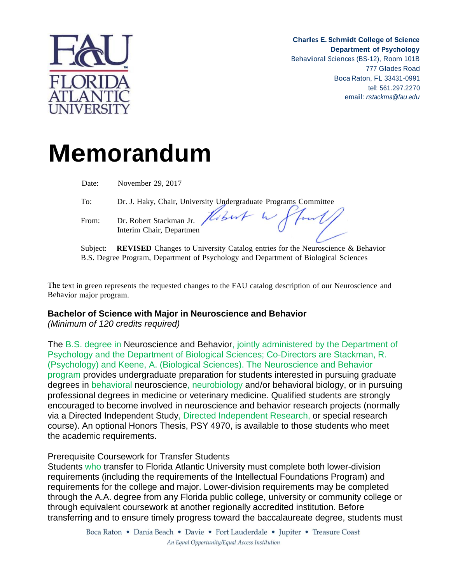

**Charles E. Schmidt College of Science Department of Psychology** Behavioral Sciences (BS-12), Room 101B <sup>777</sup> Glades Road Boca Raton, FL 33431-0991 tel: 561.297.2270 email: *[rstackma@fau.edu](mailto:rstackma@fau.edu)*

# **Memorandum**

| Date:          | November 29, 2017                                                  |
|----------------|--------------------------------------------------------------------|
| To:            | Dr. J. Haky, Chair, University Undergraduate Programs Committee    |
| From:          | Dr. Robert Stackman Jr. Hobert W Plus.<br>Interim Chair, Departmen |
| $\sim$ $\cdot$ |                                                                    |

Subject: **REVISED** Changes to University Catalog entries for the Neuroscience & Behavior B.S. Degree Program, Department of Psychology and Department of Biological Sciences

The text in green represents the requested changes to the FAU catalog description of our Neuroscience and Behavior major program.

### **Bachelor of Science with Major in Neuroscience and Behavior**

*(Minimum of 120 credits required)*

The B.S. degree in Neuroscience and Behavior, jointly administered by the Department of Psychology and the Department of Biological Sciences; Co-Directors are Stackman, R. (Psychology) and Keene, A. (Biological Sciences). The Neuroscience and Behavior program provides undergraduate preparation for students interested in pursuing graduate degrees in behavioral neuroscience, neurobiology and/or behavioral biology, or in pursuing professional degrees in medicine or veterinary medicine. Qualified students are strongly encouraged to become involved in neuroscience and behavior research projects (normally via a Directed Independent Study, Directed Independent Research, or special research course). An optional Honors Thesis, PSY 4970, is available to those students who meet the academic requirements.

### Prerequisite Coursework for Transfer Students

Students who transfer to Florida Atlantic University must complete both lower-division requirements (including the requirements of the Intellectual Foundations Program) and requirements for the college and major. Lower-division requirements may be completed through the A.A. degree from any Florida public college, university or community college or through equivalent coursework at another regionally accredited institution. Before transferring and to ensure timely progress toward the baccalaureate degree, students must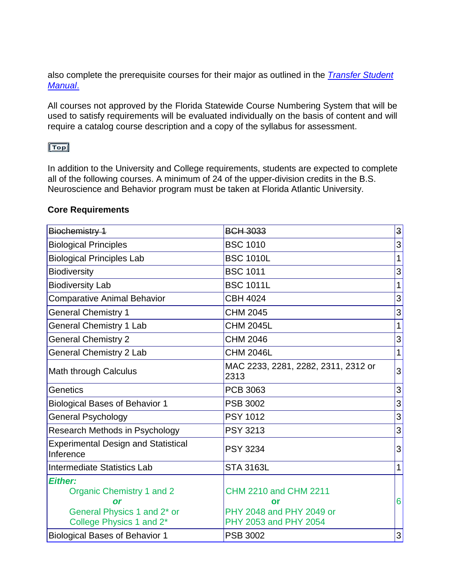also complete the prerequisite courses for their major as outlined in the *Transfer Student Manual*.

All courses not approved by the Florida Statewide Course Numbering System that will be used to satisfy requirements will be evaluated individually on the basis of content and will require a catalog course description and a copy of the syllabus for assessment.

## $Top$

In addition to the University and College requirements, students are expected to complete all of the following courses. A minimum of 24 of the upper-division credits in the B.S. Neuroscience and Behavior program must be taken at Florida Atlantic University.

#### **Core Requirements**

| Biochemistry 1                                                                                                           | <b>BCH 3033</b>                                                                         | $\mathsf{3}$ |
|--------------------------------------------------------------------------------------------------------------------------|-----------------------------------------------------------------------------------------|--------------|
| <b>Biological Principles</b>                                                                                             | <b>BSC 1010</b>                                                                         | 3            |
| <b>Biological Principles Lab</b>                                                                                         | <b>BSC 1010L</b>                                                                        | 1            |
| <b>Biodiversity</b>                                                                                                      | <b>BSC 1011</b>                                                                         | 3            |
| <b>Biodiversity Lab</b>                                                                                                  | <b>BSC 1011L</b>                                                                        | 1            |
| <b>Comparative Animal Behavior</b>                                                                                       | <b>CBH 4024</b>                                                                         | 3            |
| <b>General Chemistry 1</b>                                                                                               | <b>CHM 2045</b>                                                                         | 3            |
| <b>General Chemistry 1 Lab</b>                                                                                           | <b>CHM 2045L</b>                                                                        | 1            |
| <b>General Chemistry 2</b>                                                                                               | <b>CHM 2046</b>                                                                         | 3            |
| <b>General Chemistry 2 Lab</b>                                                                                           | <b>CHM 2046L</b>                                                                        | $\mathbf{1}$ |
| Math through Calculus                                                                                                    | MAC 2233, 2281, 2282, 2311, 2312 or<br>2313                                             | 3            |
| Genetics                                                                                                                 | PCB 3063                                                                                | 3            |
| <b>Biological Bases of Behavior 1</b>                                                                                    | <b>PSB 3002</b>                                                                         | 3            |
| <b>General Psychology</b>                                                                                                | <b>PSY 1012</b>                                                                         | 3            |
| Research Methods in Psychology                                                                                           | <b>PSY 3213</b>                                                                         | 3            |
| <b>Experimental Design and Statistical</b><br>Inference                                                                  | <b>PSY 3234</b>                                                                         | 3            |
| <b>Intermediate Statistics Lab</b>                                                                                       | <b>STA 3163L</b>                                                                        | $\mathbf{1}$ |
| <b>Either:</b><br>Organic Chemistry 1 and 2<br>or<br>General Physics 1 and 2 <sup>*</sup> or<br>College Physics 1 and 2* | <b>CHM 2210 and CHM 2211</b><br>or<br>PHY 2048 and PHY 2049 or<br>PHY 2053 and PHY 2054 | 6            |
| <b>Biological Bases of Behavior 1</b>                                                                                    | <b>PSB 3002</b>                                                                         | 3            |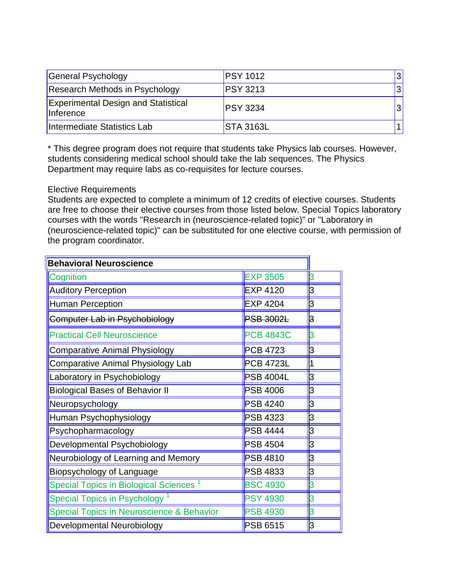| General Psychology                                      | <b>PSY 1012</b> |  |
|---------------------------------------------------------|-----------------|--|
| Research Methods in Psychology                          | <b>PSY 3213</b> |  |
| <b>Experimental Design and Statistical</b><br>Inference | <b>PSY 3234</b> |  |
| Intermediate Statistics Lab                             | STA 3163L       |  |

\* This degree program does not require that students take Physics lab courses. However, students considering medical school should take the lab sequences. The Physics Department may require labs as co-requisites for lecture courses.

#### Elective Requirements

Students are expected to complete a minimum of 12 credits of elective courses. Students are free to choose their elective courses from those listed below. Special Topics laboratory courses with the words "Research in (neuroscience-related topic)" or "Laboratory in (neuroscience-related topic)" can be substituted for one elective course, with permission of the program coordinator.

| <b>Behavioral Neuroscience</b>               |                  |    |
|----------------------------------------------|------------------|----|
| Cognition                                    | <b>EXP 3505</b>  | 3  |
| <b>Auditory Perception</b>                   | EXP 4120         | b  |
| <b>Human Perception</b>                      | <b>EXP 4204</b>  | ļЗ |
| Computer Lab in Psychobiology                | <b>PSB 3002L</b> | ß  |
| <b>Practical Cell Neuroscience</b>           | <b>PCB 4843C</b> | IЗ |
| <b>Comparative Animal Physiology</b>         | PCB 4723         | bЗ |
| Comparative Animal Physiology Lab            | <b>PCB 4723L</b> |    |
| Laboratory in Psychobiology                  | <b>PSB 4004L</b> | ß  |
| <b>Biological Bases of Behavior II</b>       | <b>PSB 4006</b>  | bЗ |
| Neuropsychology                              | <b>PSB 4240</b>  | ß  |
| Human Psychophysiology                       | <b>PSB 4323</b>  | þЗ |
| Psychopharmacology                           | <b>PSB 4444</b>  | ß  |
| Developmental Psychobiology                  | <b>PSB 4504</b>  | þЗ |
| Neurobiology of Learning and Memory          | <b>PSB 4810</b>  | IЗ |
| <b>Biopsychology of Language</b>             | <b>PSB 4833</b>  | ß  |
| <b>Special Topics in Biological Sciences</b> | <b>BSC 4930</b>  | 3  |
| <b>Special Topics in Psychology</b>          | <b>PSY 4930</b>  | IЗ |
| Special Topics in Neuroscience & Behavior    | <b>PSB 4930</b>  | lЗ |
| Developmental Neurobiology                   | <b>PSB 6515</b>  | 3  |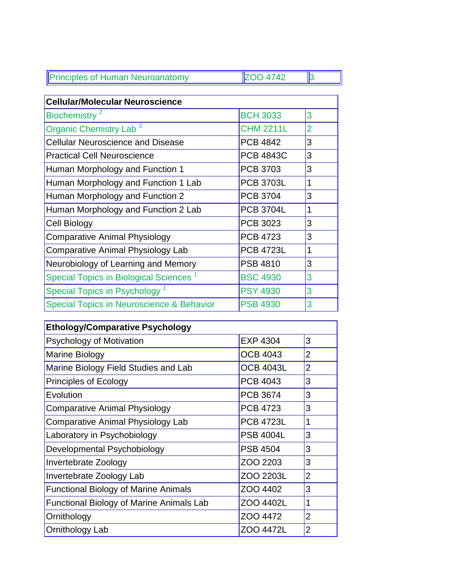| <b>Principles of Human Neuroanatomy</b> | IIZOO AZAO |  |
|-----------------------------------------|------------|--|
|                                         |            |  |

| <b>Cellular/Molecular Neuroscience</b>             |                  |                |
|----------------------------------------------------|------------------|----------------|
| Biochemistry <sup>2</sup>                          | <b>BCH 3033</b>  | 3              |
| Organic Chemistry Lab <sup>3</sup>                 | <b>CHM 2211L</b> | $\overline{2}$ |
| <b>Cellular Neuroscience and Disease</b>           | <b>PCB 4842</b>  | 3              |
| <b>Practical Cell Neuroscience</b>                 | <b>PCB 4843C</b> | 3              |
| Human Morphology and Function 1                    | PCB 3703         | 3              |
| Human Morphology and Function 1 Lab                | <b>PCB 3703L</b> | 1              |
| Human Morphology and Function 2                    | <b>PCB 3704</b>  | 3              |
| Human Morphology and Function 2 Lab                | <b>PCB 3704L</b> | 1              |
| Cell Biology                                       | PCB 3023         | 3              |
| <b>Comparative Animal Physiology</b>               | <b>PCB 4723</b>  | 3              |
| <b>Comparative Animal Physiology Lab</b>           | <b>PCB 4723L</b> | 1              |
| Neurobiology of Learning and Memory                | <b>PSB 4810</b>  | 3              |
| Special Topics in Biological Sciences <sup>1</sup> | <b>BSC 4930</b>  | 3              |
| Special Topics in Psychology <sup>1</sup>          | <b>PSY 4930</b>  | 3              |
| Special Topics in Neuroscience & Behavior          | <b>PSB 4930</b>  | 3              |

| <b>Ethology/Comparative Psychology</b>          |                  |                |
|-------------------------------------------------|------------------|----------------|
| <b>Psychology of Motivation</b>                 | <b>EXP 4304</b>  | 3              |
| Marine Biology                                  | <b>OCB 4043</b>  | 2              |
| Marine Biology Field Studies and Lab            | <b>OCB 4043L</b> | $\overline{2}$ |
| <b>Principles of Ecology</b>                    | <b>PCB 4043</b>  | 3              |
| Evolution                                       | <b>PCB 3674</b>  | 3              |
| Comparative Animal Physiology                   | <b>PCB 4723</b>  | 3              |
| Comparative Animal Physiology Lab               | <b>PCB 4723L</b> | 1              |
| Laboratory in Psychobiology                     | <b>PSB 4004L</b> | 3              |
| Developmental Psychobiology                     | <b>PSB 4504</b>  | 3              |
| Invertebrate Zoology                            | ZOO 2203         | 3              |
| Invertebrate Zoology Lab                        | ZOO 2203L        | $\overline{2}$ |
| <b>Functional Biology of Marine Animals</b>     | ZOO 4402         | 3              |
| <b>Functional Biology of Marine Animals Lab</b> | ZOO 4402L        | 1              |
| Ornithology                                     | ZOO 4472         | $\overline{2}$ |
| Ornithology Lab                                 | ZOO 4472L        | 2              |